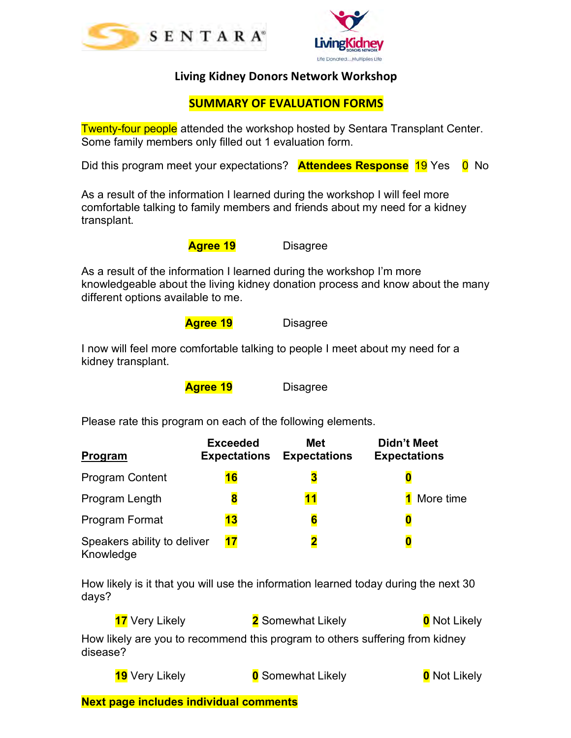



## **Living Kidney Donors Network Workshop**

## **SUMMARY OF EVALUATION FORMS**

**Twenty-four people** attended the workshop hosted by Sentara Transplant Center. Some family members only filled out 1 evaluation form.

Did this program meet your expectations? **Attendees Response** 19 Yes 0 No

As a result of the information I learned during the workshop I will feel more comfortable talking to family members and friends about my need for a kidney transplant.

 **Agree 19** Disagree

As a result of the information I learned during the workshop I'm more knowledgeable about the living kidney donation process and know about the many different options available to me.

**Agree 19** Disagree

I now will feel more comfortable talking to people I meet about my need for a kidney transplant.

**Agree 19** Disagree

Please rate this program on each of the following elements.

| Program                                  | <b>Exceeded</b><br><b>Expectations</b> | <b>Met</b><br><b>Expectations</b> | <b>Didn't Meet</b><br><b>Expectations</b> |
|------------------------------------------|----------------------------------------|-----------------------------------|-------------------------------------------|
| <b>Program Content</b>                   | 16                                     | В                                 |                                           |
| Program Length                           | 8                                      | 11                                | More time                                 |
| Program Format                           | 13                                     | 6                                 |                                           |
| Speakers ability to deliver<br>Knowledge | 17                                     | 2                                 |                                           |

How likely is it that you will use the information learned today during the next 30 days?

**17** Very Likely **2** Somewhat Likely **0** Not Likely How likely are you to recommend this program to others suffering from kidney disease?

**19** Very Likely **0** Somewhat Likely **0** Not Likely

**Next page includes individual comments**